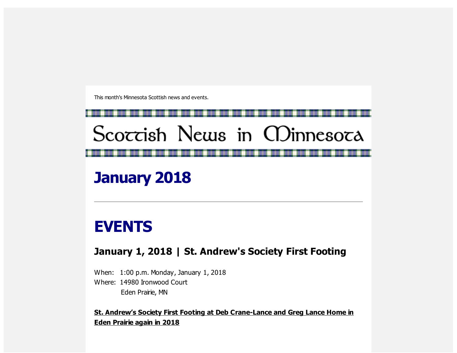This month's Minnesota Scottish news and events.



January 2018

# EVENTS

### January 1, 2018 | St. Andrew's Society First Footing

When: 1:00 p.m. Monday, January 1, 2018 Where: 14980 Ironwood Court Eden Prairie, MN

St. Andrew's Society First Footing at Deb Crane-Lance and Greg Lance Home in Eden Prairie again in 2018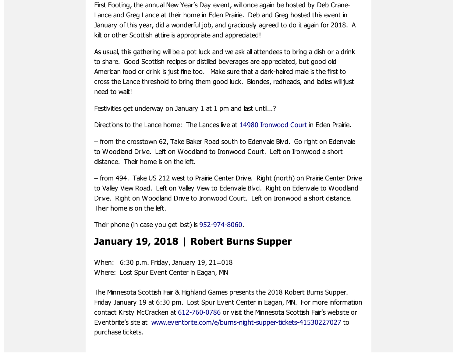First Footing, the annual New Year's Day event, will once again be hosted by Deb Crane-Lance and Greg Lance at their home in Eden Prairie. Deb and Greg hosted this event in January of this year, did a wonderful job, and graciously agreed to do it again for 2018. A kilt or other Scottish attire is appropriate and appreciated!

As usual, this gathering will be a pot-luck and we ask all attendees to bring a dish or a drink to share. Good Scottish recipes or distilled beverages are appreciated, but good old American food or drink is just fine too. Make sure that a dark-haired male is the first to cross the Lance threshold to bring them good luck. Blondes, redheads, and ladies will just need to wait!

Festivities get underway on January 1 at 1 pm and last until...?

Directions to the Lance home: The Lances live at 14980 [Ironwood](https://scottishamericancentermn.us10.list-manage.com/track/click?u=2fe4099001736ac4b948473e4&id=d47d9e6728&e=6b0ba04b53) Court in Eden Prairie.

– from the crosstown 62, Take Baker Road south to Edenvale Blvd. Go right on Edenvale to Woodland Drive. Left on Woodland to Ironwood Court. Left on Ironwood a short distance. Their home is on the left.

– from 494. Take US 212 west to Prairie Center Drive. Right (north) on Prairie Center Drive to Valley View Road. Left on Valley View to Edenvale Blvd. Right on Edenvale to Woodland Drive. Right on Woodland Drive to Ironwood Court. Left on Ironwood a short distance. Their home is on the left.

Their phone (in case you get lost) is [952-974-8060.](tel:(952)%20974-8060)

### January 19, 2018 | Robert Burns Supper

When: 6:30 p.m. Friday, January 19, 21=018 Where: Lost Spur Event Center in Eagan, MN

The Minnesota Scottish Fair & Highland Games presents the 2018 Robert Burns Supper. Friday January 19 at 6:30 pm. Lost Spur Event Center in Eagan, MN. For more information contact Kirsty McCracken at [612-760-0786](tel:(612)%20760-0786) or visit the Minnesota Scottish Fair's website or Eventbrite's site at [www.eventbrite.com/e/burns-night-supper-tickets-41530227027](https://scottishamericancentermn.us10.list-manage.com/track/click?u=2fe4099001736ac4b948473e4&id=de1b953eb7&e=6b0ba04b53) to purchase tickets.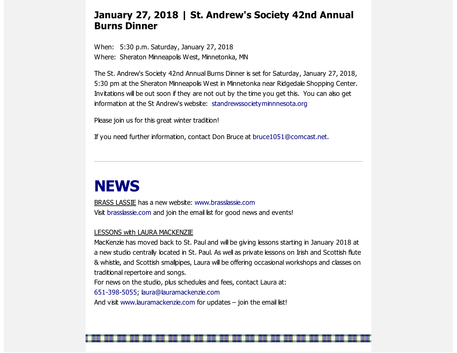#### January 27, 2018 | St. Andrew's Society 42nd Annual Burns Dinner

When: 5:30 p.m. Saturday, January 27, 2018 Where: Sheraton Minneapolis West, Minnetonka, MN

The St. Andrew's Society 42nd Annual Burns Dinner is set for Saturday, January 27, 2018, 5:30 pm at the Sheraton Minneapolis West in Minnetonka near Ridgedale Shopping Center. Invitations will be out soon if they are not out by the time you get this. You can also get information at the St Andrew's website: [standrewssocietyminnnesota.org](https://scottishamericancentermn.us10.list-manage.com/track/click?u=2fe4099001736ac4b948473e4&id=19f826d147&e=6b0ba04b53)

Please join us for this great winter tradition!

If you need further information, contact Don Bruce at [bruce1051@comcast.net.](mailto:bruce1051@comcast.net)

## **NEWS**

BRASS LASSIE has a new website: [www.brasslassie.com](https://scottishamericancentermn.us10.list-manage.com/track/click?u=2fe4099001736ac4b948473e4&id=9cf7e46475&e=6b0ba04b53) Visit [brasslassie.com](https://scottishamericancentermn.us10.list-manage.com/track/click?u=2fe4099001736ac4b948473e4&id=50724e6df2&e=6b0ba04b53) and join the email list for good news and events!

#### LESSONS with LAURA MACKENZIE

MacKenzie has moved back to St. Paul and will be giving lessons starting in January 2018 at a new studio centrally located in St. Paul. As well as private lessons on Irish and Scottish flute & whistle, and Scottish smallpipes, Laura will be offering occasional workshops and classes on traditional repertoire and songs.

For news on the studio, plus schedules and fees, contact Laura at:

[651-398-5055;](tel:(651)%20398-5055) [laura@lauramackenzie.com](mailto:laura@lauramackenzie.com)

And visit [www.lauramackenzie.com](https://scottishamericancentermn.us10.list-manage.com/track/click?u=2fe4099001736ac4b948473e4&id=525021462d&e=6b0ba04b53) for updates - join the email list!